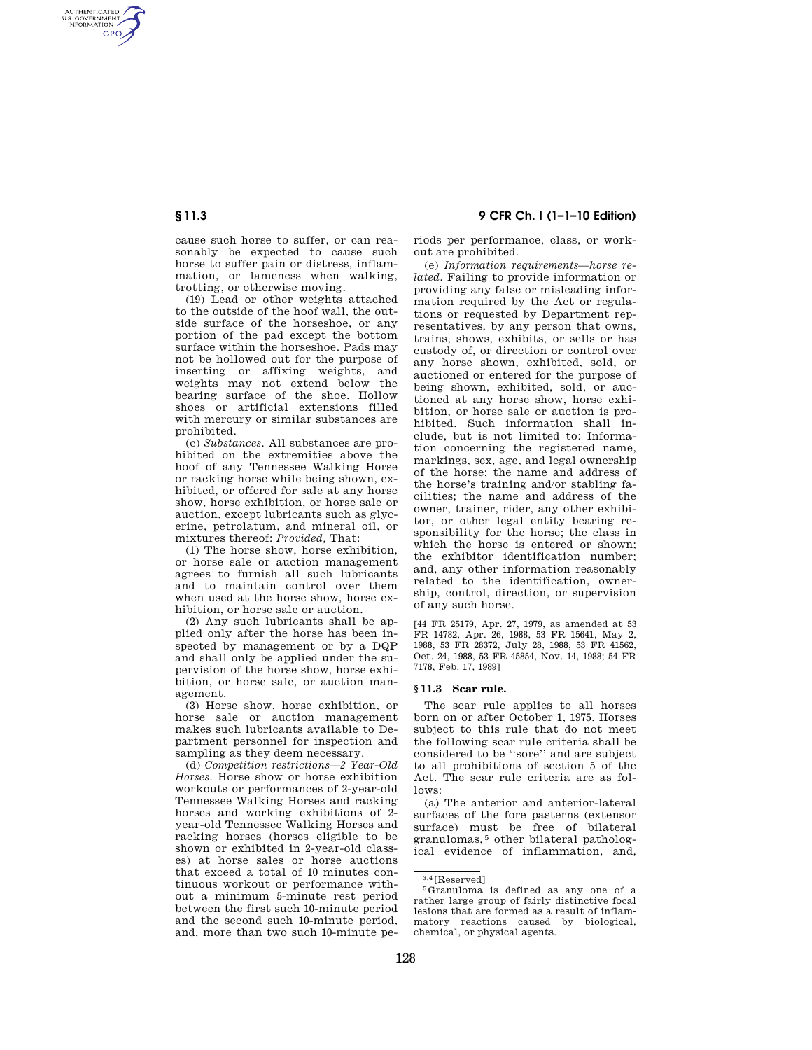AUTHENTICATED<br>U.S. GOVERNMENT<br>INFORMATION **GPO** 

> cause such horse to suffer, or can reasonably be expected to cause such horse to suffer pain or distress, inflammation, or lameness when walking, trotting, or otherwise moving.

> (19) Lead or other weights attached to the outside of the hoof wall, the outside surface of the horseshoe, or any portion of the pad except the bottom surface within the horseshoe. Pads may not be hollowed out for the purpose of inserting or affixing weights, and weights may not extend below the bearing surface of the shoe. Hollow shoes or artificial extensions filled with mercury or similar substances are prohibited.

> (c) *Substances.* All substances are prohibited on the extremities above the hoof of any Tennessee Walking Horse or racking horse while being shown, exhibited, or offered for sale at any horse show, horse exhibition, or horse sale or auction, except lubricants such as glycerine, petrolatum, and mineral oil, or mixtures thereof: *Provided,* That:

> (1) The horse show, horse exhibition, or horse sale or auction management agrees to furnish all such lubricants and to maintain control over them when used at the horse show, horse exhibition, or horse sale or auction.

> (2) Any such lubricants shall be applied only after the horse has been inspected by management or by a DQP and shall only be applied under the supervision of the horse show, horse exhibition, or horse sale, or auction management.

> (3) Horse show, horse exhibition, or horse sale or auction management makes such lubricants available to Department personnel for inspection and sampling as they deem necessary.

> (d) *Competition restrictions—2 Year-Old Horses.* Horse show or horse exhibition workouts or performances of 2-year-old Tennessee Walking Horses and racking horses and working exhibitions of 2 year-old Tennessee Walking Horses and racking horses (horses eligible to be shown or exhibited in 2-year-old classes) at horse sales or horse auctions that exceed a total of 10 minutes continuous workout or performance without a minimum 5-minute rest period between the first such 10-minute period and the second such 10-minute period, and, more than two such 10-minute pe-

**§ 11.3 9 CFR Ch. I (1–1–10 Edition)** 

riods per performance, class, or workout are prohibited.

(e) *Information requirements—horse related.* Failing to provide information or providing any false or misleading information required by the Act or regulations or requested by Department representatives, by any person that owns, trains, shows, exhibits, or sells or has custody of, or direction or control over any horse shown, exhibited, sold, or auctioned or entered for the purpose of being shown, exhibited, sold, or auctioned at any horse show, horse exhibition, or horse sale or auction is prohibited. Such information shall include, but is not limited to: Information concerning the registered name, markings, sex, age, and legal ownership of the horse; the name and address of the horse's training and/or stabling facilities; the name and address of the owner, trainer, rider, any other exhibitor, or other legal entity bearing responsibility for the horse; the class in which the horse is entered or shown; the exhibitor identification number; and, any other information reasonably related to the identification, ownership, control, direction, or supervision of any such horse.

[44 FR 25179, Apr. 27, 1979, as amended at 53 FR 14782, Apr. 26, 1988, 53 FR 15641, May 2, 1988, 53 FR 28372, July 28, 1988, 53 FR 41562, Oct. 24, 1988, 53 FR 45854, Nov. 14, 1988; 54 FR 7178, Feb. 17, 1989]

## **§ 11.3 Scar rule.**

The scar rule applies to all horses born on or after October 1, 1975. Horses subject to this rule that do not meet the following scar rule criteria shall be considered to be ''sore'' and are subject to all prohibitions of section 5 of the Act. The scar rule criteria are as follows:

(a) The anterior and anterior-lateral surfaces of the fore pasterns (extensor surface) must be free of bilateral granulomas, 5 other bilateral pathological evidence of inflammation, and,

 $3.4$  [Reserved]<br> $5$  Granuloma is defined as any one of a rather large group of fairly distinctive focal lesions that are formed as a result of inflammatory reactions caused by biological, chemical, or physical agents.